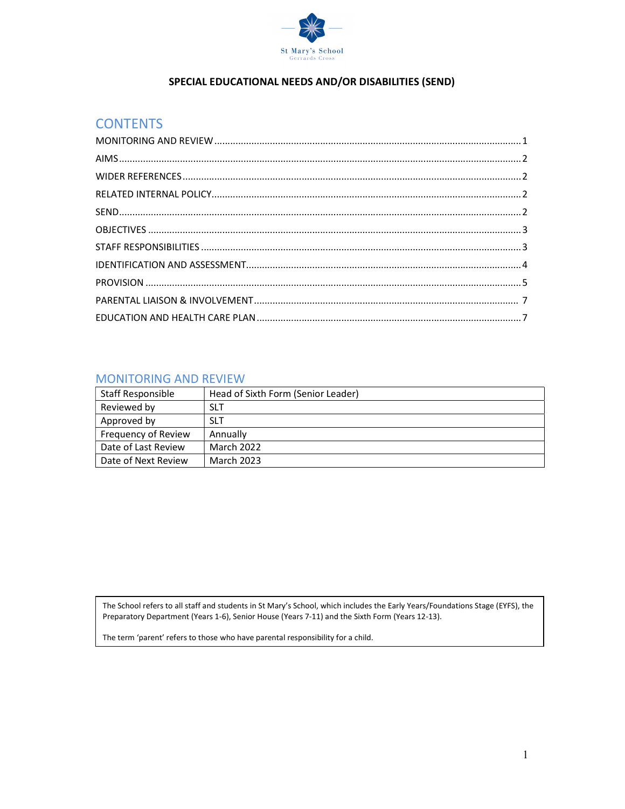

## SPECIAL EDUCATIONAL NEEDS AND/OR DISABILITIES (SEND)

## **CONTENTS**

### MONITORING AND REVIEW

| Staff Responsible   | Head of Sixth Form (Senior Leader) |
|---------------------|------------------------------------|
| Reviewed by         | <b>SLT</b>                         |
| Approved by         | <b>SLT</b>                         |
| Frequency of Review | Annually                           |
| Date of Last Review | <b>March 2022</b>                  |
| Date of Next Review | March 2023                         |

The School refers to all staff and students in St Mary's School, which includes the Early Years/Foundations Stage (EYFS), the Preparatory Department (Years 1-6), Senior House (Years 7-11) and the Sixth Form (Years 12-13).

The term 'parent' refers to those who have parental responsibility for a child.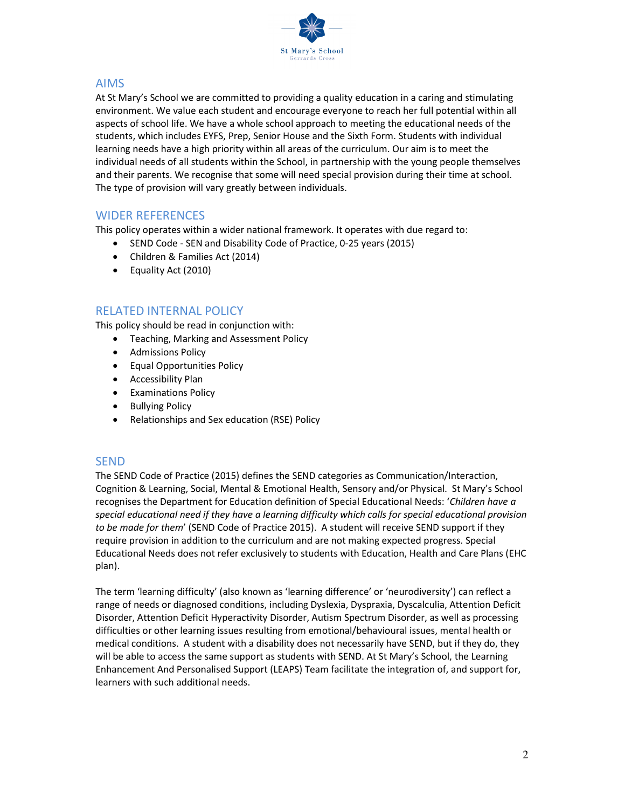

### AIMS

At St Mary's School we are committed to providing a quality education in a caring and stimulating environment. We value each student and encourage everyone to reach her full potential within all aspects of school life. We have a whole school approach to meeting the educational needs of the students, which includes EYFS, Prep, Senior House and the Sixth Form. Students with individual learning needs have a high priority within all areas of the curriculum. Our aim is to meet the individual needs of all students within the School, in partnership with the young people themselves and their parents. We recognise that some will need special provision during their time at school. The type of provision will vary greatly between individuals.

## WIDER REFERENCES

This policy operates within a wider national framework. It operates with due regard to:

- SEND Code SEN and Disability Code of Practice, 0-25 years (2015)
- Children & Families Act (2014)
- Equality Act (2010)

## RELATED INTERNAL POLICY

This policy should be read in conjunction with:

- Teaching, Marking and Assessment Policy
- **•** Admissions Policy
- Equal Opportunities Policy
- **•** Accessibility Plan
- **•** Examinations Policy
- Bullying Policy
- Relationships and Sex education (RSE) Policy

#### **SEND**

The SEND Code of Practice (2015) defines the SEND categories as Communication/Interaction, Cognition & Learning, Social, Mental & Emotional Health, Sensory and/or Physical. St Mary's School recognises the Department for Education definition of Special Educational Needs: 'Children have a special educational need if they have a learning difficulty which calls for special educational provision to be made for them' (SEND Code of Practice 2015). A student will receive SEND support if they require provision in addition to the curriculum and are not making expected progress. Special Educational Needs does not refer exclusively to students with Education, Health and Care Plans (EHC plan).

The term 'learning difficulty' (also known as 'learning difference' or 'neurodiversity') can reflect a range of needs or diagnosed conditions, including Dyslexia, Dyspraxia, Dyscalculia, Attention Deficit Disorder, Attention Deficit Hyperactivity Disorder, Autism Spectrum Disorder, as well as processing difficulties or other learning issues resulting from emotional/behavioural issues, mental health or medical conditions. A student with a disability does not necessarily have SEND, but if they do, they will be able to access the same support as students with SEND. At St Mary's School, the Learning Enhancement And Personalised Support (LEAPS) Team facilitate the integration of, and support for, learners with such additional needs.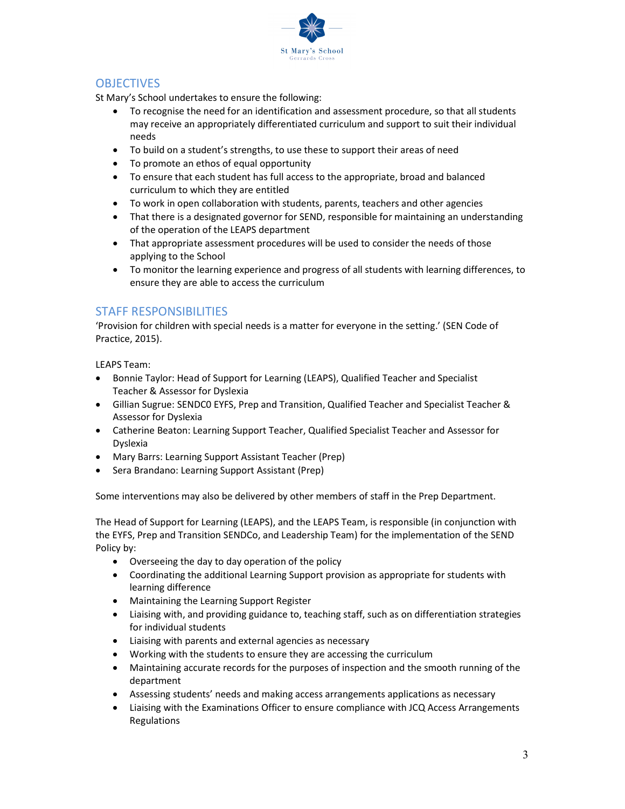

## **OBJECTIVES**

St Mary's School undertakes to ensure the following:

- To recognise the need for an identification and assessment procedure, so that all students may receive an appropriately differentiated curriculum and support to suit their individual needs
- To build on a student's strengths, to use these to support their areas of need
- To promote an ethos of equal opportunity
- To ensure that each student has full access to the appropriate, broad and balanced curriculum to which they are entitled
- To work in open collaboration with students, parents, teachers and other agencies
- That there is a designated governor for SEND, responsible for maintaining an understanding of the operation of the LEAPS department
- That appropriate assessment procedures will be used to consider the needs of those applying to the School
- To monitor the learning experience and progress of all students with learning differences, to ensure they are able to access the curriculum

# STAFF RESPONSIBILITIES

'Provision for children with special needs is a matter for everyone in the setting.' (SEN Code of Practice, 2015).

LEAPS Team:

- Bonnie Taylor: Head of Support for Learning (LEAPS), Qualified Teacher and Specialist Teacher & Assessor for Dyslexia
- Gillian Sugrue: SENDC0 EYFS, Prep and Transition, Qualified Teacher and Specialist Teacher & Assessor for Dyslexia
- Catherine Beaton: Learning Support Teacher, Qualified Specialist Teacher and Assessor for Dyslexia
- Mary Barrs: Learning Support Assistant Teacher (Prep)
- Sera Brandano: Learning Support Assistant (Prep)

Some interventions may also be delivered by other members of staff in the Prep Department.

The Head of Support for Learning (LEAPS), and the LEAPS Team, is responsible (in conjunction with the EYFS, Prep and Transition SENDCo, and Leadership Team) for the implementation of the SEND Policy by:

- Overseeing the day to day operation of the policy
- Coordinating the additional Learning Support provision as appropriate for students with learning difference
- Maintaining the Learning Support Register
- Liaising with, and providing guidance to, teaching staff, such as on differentiation strategies for individual students
- Liaising with parents and external agencies as necessary
- Working with the students to ensure they are accessing the curriculum
- Maintaining accurate records for the purposes of inspection and the smooth running of the department
- Assessing students' needs and making access arrangements applications as necessary
- Liaising with the Examinations Officer to ensure compliance with JCQ Access Arrangements Regulations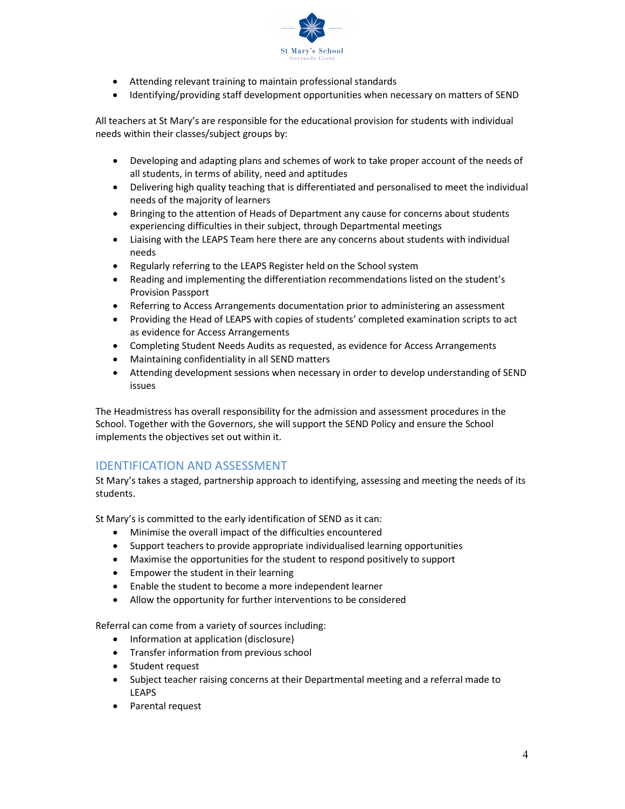

- Attending relevant training to maintain professional standards
- Identifying/providing staff development opportunities when necessary on matters of SEND

All teachers at St Mary's are responsible for the educational provision for students with individual needs within their classes/subject groups by:

- Developing and adapting plans and schemes of work to take proper account of the needs of all students, in terms of ability, need and aptitudes
- Delivering high quality teaching that is differentiated and personalised to meet the individual needs of the majority of learners
- Bringing to the attention of Heads of Department any cause for concerns about students experiencing difficulties in their subject, through Departmental meetings
- Liaising with the LEAPS Team here there are any concerns about students with individual needs
- Regularly referring to the LEAPS Register held on the School system
- Reading and implementing the differentiation recommendations listed on the student's Provision Passport
- Referring to Access Arrangements documentation prior to administering an assessment
- Providing the Head of LEAPS with copies of students' completed examination scripts to act as evidence for Access Arrangements
- Completing Student Needs Audits as requested, as evidence for Access Arrangements
- Maintaining confidentiality in all SEND matters
- Attending development sessions when necessary in order to develop understanding of SEND issues

The Headmistress has overall responsibility for the admission and assessment procedures in the School. Together with the Governors, she will support the SEND Policy and ensure the School implements the objectives set out within it.

# IDENTIFICATION AND ASSESSMENT

St Mary's takes a staged, partnership approach to identifying, assessing and meeting the needs of its students.

St Mary's is committed to the early identification of SEND as it can:

- Minimise the overall impact of the difficulties encountered
- Support teachers to provide appropriate individualised learning opportunities
- Maximise the opportunities for the student to respond positively to support
- **•** Empower the student in their learning
- Enable the student to become a more independent learner
- Allow the opportunity for further interventions to be considered

Referral can come from a variety of sources including:

- Information at application (disclosure)
- Transfer information from previous school
- Student request
- Subject teacher raising concerns at their Departmental meeting and a referral made to LEAPS
- Parental request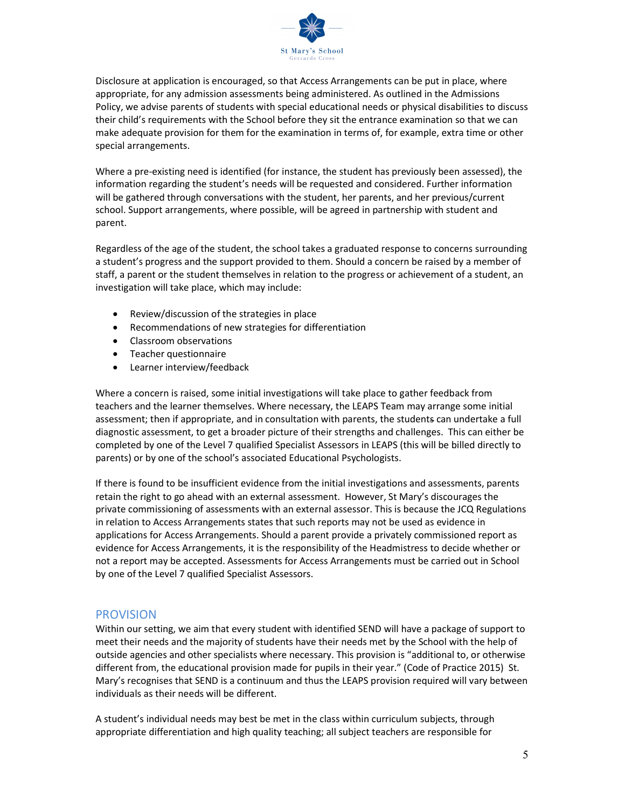

Disclosure at application is encouraged, so that Access Arrangements can be put in place, where appropriate, for any admission assessments being administered. As outlined in the Admissions Policy, we advise parents of students with special educational needs or physical disabilities to discuss their child's requirements with the School before they sit the entrance examination so that we can make adequate provision for them for the examination in terms of, for example, extra time or other special arrangements.

Where a pre-existing need is identified (for instance, the student has previously been assessed), the information regarding the student's needs will be requested and considered. Further information will be gathered through conversations with the student, her parents, and her previous/current school. Support arrangements, where possible, will be agreed in partnership with student and parent.

Regardless of the age of the student, the school takes a graduated response to concerns surrounding a student's progress and the support provided to them. Should a concern be raised by a member of staff, a parent or the student themselves in relation to the progress or achievement of a student, an investigation will take place, which may include:

- Review/discussion of the strategies in place
- Recommendations of new strategies for differentiation
- Classroom observations
- Teacher questionnaire
- Learner interview/feedback

Where a concern is raised, some initial investigations will take place to gather feedback from teachers and the learner themselves. Where necessary, the LEAPS Team may arrange some initial assessment; then if appropriate, and in consultation with parents, the students can undertake a full diagnostic assessment, to get a broader picture of their strengths and challenges. This can either be completed by one of the Level 7 qualified Specialist Assessors in LEAPS (this will be billed directly to parents) or by one of the school's associated Educational Psychologists.

If there is found to be insufficient evidence from the initial investigations and assessments, parents retain the right to go ahead with an external assessment. However, St Mary's discourages the private commissioning of assessments with an external assessor. This is because the JCQ Regulations in relation to Access Arrangements states that such reports may not be used as evidence in applications for Access Arrangements. Should a parent provide a privately commissioned report as evidence for Access Arrangements, it is the responsibility of the Headmistress to decide whether or not a report may be accepted. Assessments for Access Arrangements must be carried out in School by one of the Level 7 qualified Specialist Assessors.

#### PROVISION

Within our setting, we aim that every student with identified SEND will have a package of support to meet their needs and the majority of students have their needs met by the School with the help of outside agencies and other specialists where necessary. This provision is "additional to, or otherwise different from, the educational provision made for pupils in their year." (Code of Practice 2015) St. Mary's recognises that SEND is a continuum and thus the LEAPS provision required will vary between individuals as their needs will be different.

A student's individual needs may best be met in the class within curriculum subjects, through appropriate differentiation and high quality teaching; all subject teachers are responsible for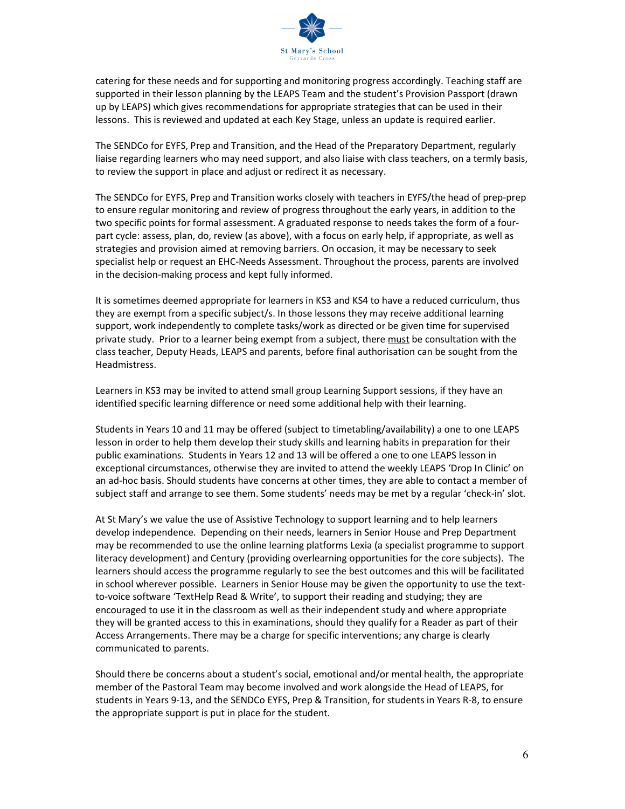

catering for these needs and for supporting and monitoring progress accordingly. Teaching staff are supported in their lesson planning by the LEAPS Team and the student's Provision Passport (drawn up by LEAPS) which gives recommendations for appropriate strategies that can be used in their lessons. This is reviewed and updated at each Key Stage, unless an update is required earlier.

The SENDCo for EYFS, Prep and Transition, and the Head of the Preparatory Department, regularly liaise regarding learners who may need support, and also liaise with class teachers, on a termly basis, to review the support in place and adjust or redirect it as necessary.

The SENDCo for EYFS, Prep and Transition works closely with teachers in EYFS/the head of prep-prep to ensure regular monitoring and review of progress throughout the early years, in addition to the two specific points for formal assessment. A graduated response to needs takes the form of a fourpart cycle: assess, plan, do, review (as above), with a focus on early help, if appropriate, as well as strategies and provision aimed at removing barriers. On occasion, it may be necessary to seek specialist help or request an EHC-Needs Assessment. Throughout the process, parents are involved in the decision-making process and kept fully informed.

It is sometimes deemed appropriate for learners in KS3 and KS4 to have a reduced curriculum, thus they are exempt from a specific subject/s. In those lessons they may receive additional learning support, work independently to complete tasks/work as directed or be given time for supervised private study. Prior to a learner being exempt from a subject, there must be consultation with the class teacher, Deputy Heads, LEAPS and parents, before final authorisation can be sought from the Headmistress.

Learners in KS3 may be invited to attend small group Learning Support sessions, if they have an identified specific learning difference or need some additional help with their learning.

Students in Years 10 and 11 may be offered (subject to timetabling/availability) a one to one LEAPS lesson in order to help them develop their study skills and learning habits in preparation for their public examinations. Students in Years 12 and 13 will be offered a one to one LEAPS lesson in exceptional circumstances, otherwise they are invited to attend the weekly LEAPS 'Drop In Clinic' on an ad-hoc basis. Should students have concerns at other times, they are able to contact a member of subject staff and arrange to see them. Some students' needs may be met by a regular 'check-in' slot.

At St Mary's we value the use of Assistive Technology to support learning and to help learners develop independence. Depending on their needs, learners in Senior House and Prep Department may be recommended to use the online learning platforms Lexia (a specialist programme to support literacy development) and Century (providing overlearning opportunities for the core subjects). The learners should access the programme regularly to see the best outcomes and this will be facilitated in school wherever possible. Learners in Senior House may be given the opportunity to use the textto-voice software 'TextHelp Read & Write', to support their reading and studying; they are encouraged to use it in the classroom as well as their independent study and where appropriate they will be granted access to this in examinations, should they qualify for a Reader as part of their Access Arrangements. There may be a charge for specific interventions; any charge is clearly communicated to parents.

Should there be concerns about a student's social, emotional and/or mental health, the appropriate member of the Pastoral Team may become involved and work alongside the Head of LEAPS, for students in Years 9-13, and the SENDCo EYFS, Prep & Transition, for students in Years R-8, to ensure the appropriate support is put in place for the student.